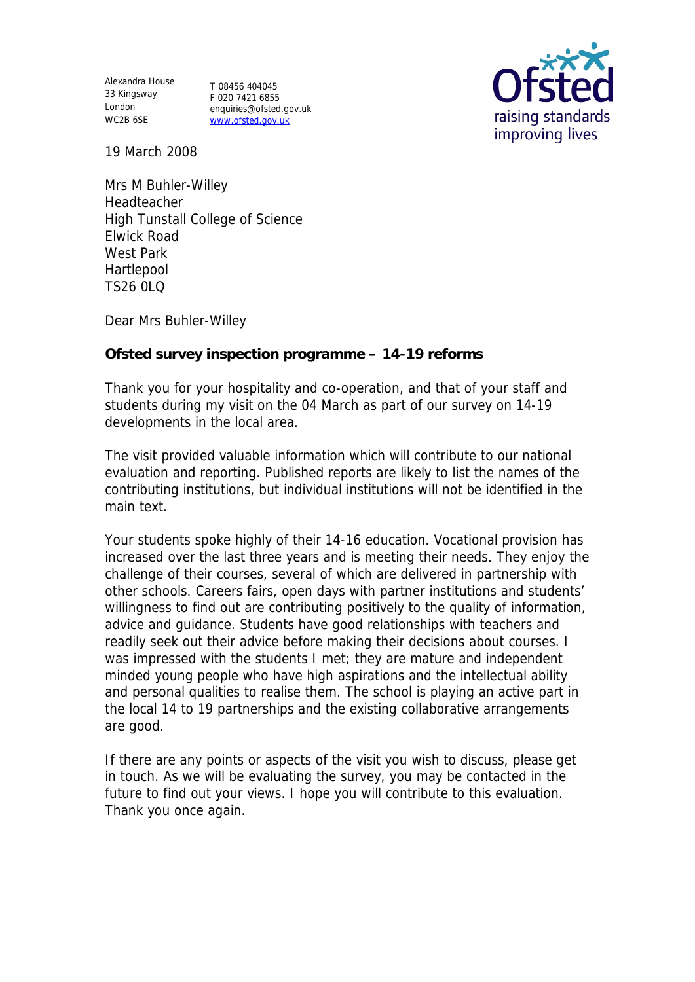Alexandra House 33 Kingsway T 08456 404045 London WC2B 6SE

F 020 7421 6855 enquiries@ofsted.gov.uk www.ofsted.gov.uk



19 March 2008

Mrs M Buhler-Willey Headteacher High Tunstall College of Science Elwick Road West Park Hartlepool TS26 0LQ

Dear Mrs Buhler-Willey

**Ofsted survey inspection programme – 14-19 reforms**

Thank you for your hospitality and co-operation, and that of your staff and students during my visit on the 04 March as part of our survey on 14-19 developments in the local area.

The visit provided valuable information which will contribute to our national evaluation and reporting. Published reports are likely to list the names of the contributing institutions, but individual institutions will not be identified in the main text.

Your students spoke highly of their 14-16 education. Vocational provision has increased over the last three years and is meeting their needs. They enjoy the challenge of their courses, several of which are delivered in partnership with other schools. Careers fairs, open days with partner institutions and students' willingness to find out are contributing positively to the quality of information, advice and guidance. Students have good relationships with teachers and readily seek out their advice before making their decisions about courses. I was impressed with the students I met; they are mature and independent minded young people who have high aspirations and the intellectual ability and personal qualities to realise them. The school is playing an active part in the local 14 to 19 partnerships and the existing collaborative arrangements are good.

If there are any points or aspects of the visit you wish to discuss, please get in touch. As we will be evaluating the survey, you may be contacted in the future to find out your views. I hope you will contribute to this evaluation. Thank you once again.